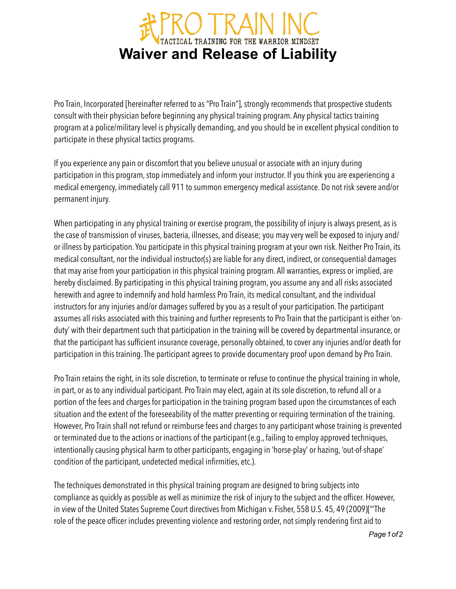## **WAIN INC.**<br>Waiver and Release of Liability

Pro Train, Incorporated [hereinafter referred to as "Pro Train"], strongly recommends that prospective students consult with their physician before beginning any physical training program. Any physical tactics training program at a police/military level is physically demanding, and you should be in excellent physical condition to participate in these physical tactics programs.

If you experience any pain or discomfort that you believe unusual or associate with an injury during participation in this program, stop immediately and inform your instructor. If you think you are experiencing a medical emergency, immediately call 911 to summon emergency medical assistance. Do not risk severe and/or permanent injury.

When participating in any physical training or exercise program, the possibility of injury is always present, as is the case of transmission of viruses, bacteria, illnesses, and disease; you may very well be exposed to injury and/ or illness by participation. You participate in this physical training program at your own risk. Neither Pro Train, its medical consultant, nor the individual instructor(s) are liable for any direct, indirect, or consequential damages that may arise from your participation in this physical training program. All warranties, express or implied, are hereby disclaimed. By participating in this physical training program, you assume any and all risks associated herewith and agree to indemnify and hold harmless Pro Train, its medical consultant, and the individual instructors for any injuries and/or damages suffered by you as a result of your participation. The participant assumes all risks associated with this training and further represents to Pro Train that the participant is either 'onduty' with their department such that participation in the training will be covered by departmental insurance, or that the participant has sufficient insurance coverage, personally obtained, to cover any injuries and/or death for participation in this training. The participant agrees to provide documentary proof upon demand by Pro Train.

Pro Train retains the right, in its sole discretion, to terminate or refuse to continue the physical training in whole, in part, or as to any individual participant. Pro Train may elect, again at its sole discretion, to refund all or a portion of the fees and charges for participation in the training program based upon the circumstances of each situation and the extent of the foreseeability of the matter preventing or requiring termination of the training. However, Pro Train shall not refund or reimburse fees and charges to any participant whose training is prevented or terminated due to the actions or inactions of the participant (e.g., failing to employ approved techniques, intentionally causing physical harm to other participants, engaging in 'horse-play' or hazing, 'out-of-shape' condition of the participant, undetected medical infirmities, etc.).

The techniques demonstrated in this physical training program are designed to bring subjects into compliance as quickly as possible as well as minimize the risk of injury to the subject and the officer. However, in view of the United States Supreme Court directives from Michigan v. Fisher, 558 U.S. 45, 49 (2009)["'The role of the peace officer includes preventing violence and restoring order, not simply rendering first aid to